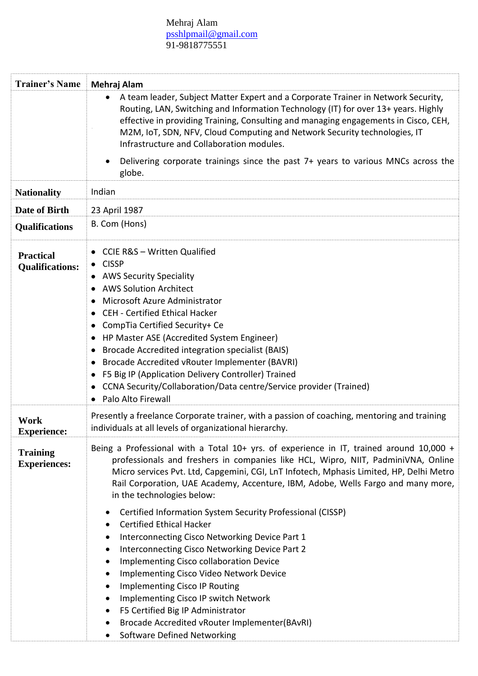## Mehraj Alam [psshlpmail@gmail.com](mailto:psshlpmail@gmail.com) 91-9818775551

| <b>Trainer's Name</b>                      | Mehraj Alam                                                                                                                                                                                                                                                                                                                                                                                                                                                                                                                                                                                                                                                                                                                                                                                                                                                                                                |
|--------------------------------------------|------------------------------------------------------------------------------------------------------------------------------------------------------------------------------------------------------------------------------------------------------------------------------------------------------------------------------------------------------------------------------------------------------------------------------------------------------------------------------------------------------------------------------------------------------------------------------------------------------------------------------------------------------------------------------------------------------------------------------------------------------------------------------------------------------------------------------------------------------------------------------------------------------------|
|                                            | A team leader, Subject Matter Expert and a Corporate Trainer in Network Security,<br>Routing, LAN, Switching and Information Technology (IT) for over 13+ years. Highly<br>effective in providing Training, Consulting and managing engagements in Cisco, CEH,<br>M2M, IoT, SDN, NFV, Cloud Computing and Network Security technologies, IT<br>Infrastructure and Collaboration modules.                                                                                                                                                                                                                                                                                                                                                                                                                                                                                                                   |
|                                            | Delivering corporate trainings since the past 7+ years to various MNCs across the<br>globe.                                                                                                                                                                                                                                                                                                                                                                                                                                                                                                                                                                                                                                                                                                                                                                                                                |
| <b>Nationality</b>                         | Indian                                                                                                                                                                                                                                                                                                                                                                                                                                                                                                                                                                                                                                                                                                                                                                                                                                                                                                     |
| <b>Date of Birth</b>                       | 23 April 1987                                                                                                                                                                                                                                                                                                                                                                                                                                                                                                                                                                                                                                                                                                                                                                                                                                                                                              |
| <b>Qualifications</b>                      | B. Com (Hons)                                                                                                                                                                                                                                                                                                                                                                                                                                                                                                                                                                                                                                                                                                                                                                                                                                                                                              |
| <b>Practical</b><br><b>Qualifications:</b> | CCIE R&S - Written Qualified<br><b>CISSP</b><br><b>AWS Security Speciality</b><br><b>AWS Solution Architect</b><br>Microsoft Azure Administrator<br>٠<br><b>CEH - Certified Ethical Hacker</b><br>٠<br>CompTia Certified Security+ Ce<br>HP Master ASE (Accredited System Engineer)<br>Brocade Accredited integration specialist (BAIS)<br>٠<br>Brocade Accredited vRouter Implementer (BAVRI)<br>٠<br>F5 Big IP (Application Delivery Controller) Trained<br>٠<br>CCNA Security/Collaboration/Data centre/Service provider (Trained)<br>Palo Alto Firewall                                                                                                                                                                                                                                                                                                                                                |
| Work<br><b>Experience:</b>                 | Presently a freelance Corporate trainer, with a passion of coaching, mentoring and training<br>individuals at all levels of organizational hierarchy.                                                                                                                                                                                                                                                                                                                                                                                                                                                                                                                                                                                                                                                                                                                                                      |
| <b>Training</b><br><b>Experiences:</b>     | Being a Professional with a Total 10+ yrs. of experience in IT, trained around 10,000 +<br>professionals and freshers in companies like HCL, Wipro, NIIT, PadminiVNA, Online<br>Micro services Pvt. Ltd, Capgemini, CGI, LnT Infotech, Mphasis Limited, HP, Delhi Metro<br>Rail Corporation, UAE Academy, Accenture, IBM, Adobe, Wells Fargo and many more,<br>in the technologies below:<br>Certified Information System Security Professional (CISSP)<br><b>Certified Ethical Hacker</b><br>Interconnecting Cisco Networking Device Part 1<br>٠<br>Interconnecting Cisco Networking Device Part 2<br>Implementing Cisco collaboration Device<br>Implementing Cisco Video Network Device<br><b>Implementing Cisco IP Routing</b><br>٠<br>Implementing Cisco IP switch Network<br>F5 Certified Big IP Administrator<br>Brocade Accredited vRouter Implementer(BAvRI)<br><b>Software Defined Networking</b> |